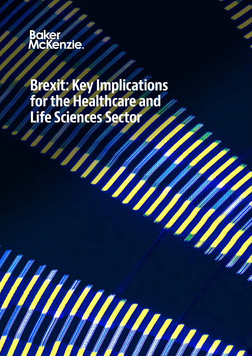# **Baker////**<br>McKenzie

### Brexit: Key Implications for the Healthcare and Life Sciences Sector

 $\eta$ 

**SARA**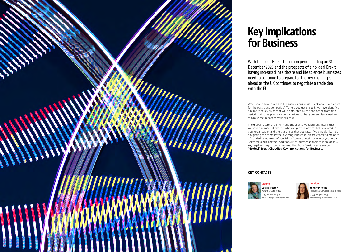

Cecilia Pastor Partner, Corporate 34 91 391 59 68 cecilia.pastor@bakermckenzie.com



London

44 20 7919 1381 jennifer.revis@bakermckenzie.com

Jennifer Revis Partner, EU Competition and Trade



### Key Implications for Business

With the post-Brexit transition period ending on 31 December 2020 and the prospects of a no-deal Brexit having increased, healthcare and life sciences businesses need to continue to prepare for the key challenges ahead as the UK continues to negotiate a trade deal

with the EU.

What should healthcare and life sciences businesses think about to prepare for the post-transition period? To help you get started, we have identified a number of key areas that will be affected by the end of the transition period, and some practical considerations so that you can plan ahead and minimise the impact to your business.



The global nature of our Firm and the clients we represent means that we have a number of experts who can provide advice that is tailored to your organisation and the challenges that you face. If you would like help navigating the complicated, evolving landscape, please contact a member of our dedicated team of specialists (contact details below) or your usual Baker McKenzie contact. Additionally, for further analysis of more general key legal and regulatory issues resulting from Brexit, please see our ['No deal' Brexit Checklist: Key Implications for Business.](https://www.bakermckenzie.com/en/insight/publications/2019/09/no-deal-brexit-checklist)

#### KEY CONTACTS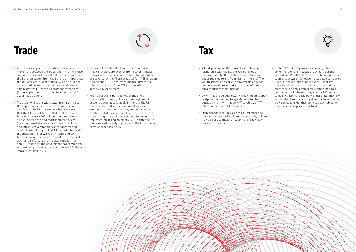### **Trade**

- After the expiry of the transition period, any movement between the EU-27 and the UK will give rise to a (re-)export from the UK and an import into the EU or an export from the EU and an import into the UK. As a result of this, there will be a number of non-tariff barriers that will create additional administrative burdens and costs for companies (for example, the cost of submission of import/ export declarations).
- That said, whilst the withdrawal may give rise to the imposition of tariffs in the event of a nodeal Brexit, the UK government has announced that the UK Global Tariff (UKGT) will come into force on 1 January 2021. Under the UKGT, almost all pharmaceuticals and most medical devices (including ventilators) are tariff free. The UK has also introduced a temporary zero tariff rate on products used to fight COVID-19 in order to tackle the crisis. This relief waives the tariff and VAT for personal protective equipment (PPE), medical devices, disinfectant and medical supplies from non-EU countries. The government has committed to continuing to waive the tariffs on key COVID-19 items if required in 2021.
- Separate from the UKGT, most medicines and medical devices are exempt from customs duties in any event. This is because many pharmaceuticals are covered by the Pharmaceutical Tariff Elimination Agreement (PTEA) and many medical devices fall within the scope of the PTEA or the Information Technology Agreement.
- From a sanctions perspective, at the end of the transition period, EU sanctions regimes will cease to automatically apply in the UK. The UK has implemented legislation providing for an autonomous sanctions regime, and has already drafted statutory instruments opting to continue the existing EU sanctions regimes, due to be implemented at beginning of 2021. To date the UK has remained broadly aligned with the EU on many areas of sanctions policy.

### **Tax**

• Direct tax: UK companies may no longer have the benefit of the Parent-Subsidiary Directive or the Interest and Royalties Directive, which exempt certain payments between EU resident associated companies. Since EU derived legislation (prior to 31 January 2020) should be preserved within UK domestic law, there should be no incremental withholding taxes on payments of interest or royalties by UK resident companies. Nonetheless, EU Member States may levy withholding taxes on any royalties or interest paid to a UK company under their domestic law (subject to relief under an applicable tax treaty).

- VAT: depending on the terms of its continuing relationship with the EU, VAT will be levied on the basis that the UK is a third country (save for goods supplied to and from Northern Ireland). The VAT treatment applicable to movements of goods between Northern Ireland and the rest of the UK remains subject to clarification.
- UK VAT registered businesses will be entitled to apply postponed accounting for goods imported from outside the UK, with import VAT payable via VAT returns rather than at the border.
- Simplification measures such as call-off stock and triangulation are unlikely to remain available, so there may be a direct impact on supply chains relying on these simplifications.



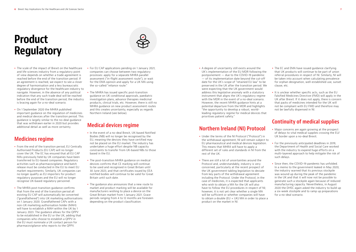• A degree of uncertainty still exists around the UK's implementation of the EU MDR following the postponement — due to the COVID-19 pandemic — of its implementation date beyond the cut-off date for the UK's scope of "retained EU law" to be preserved in the UK after the transition period. We were expecting that the UK government would address this legislative anomaly with a statutory instrument that aligns the UK's regulatory regime with the MDR in the event of a no-deal scenario. However, the recent MHRA guidance hints at a potential departure from the MDR and highlights "the opportunity to develop a robust, worldleading regulatory regime for medical devices that prioritises patient safety."

### Northern Ireland (NI) Protocol

- The EC and EMA have issued quidance clarifying that UK products will continue to be part of union referral procedures in respect of NI. Similarly, NI will be taken into account when calculating prevalence for orphan designation, well-established use, sunset clause, etc.
- It is unclear whether specific acts, such as the EU Falsified Medicines Directive (FMD) will apply in the UK after Brexit. If it does not apply, there is concern that packs of medicines intended for the UK will not be compliant with EU FMD and therefore may not be lawfully dispensed in NI.

- Under the terms of the NI Protocol ("Protocol") in the withdrawal agreement, NI will remain subject to EU pharmaceutical and medical devices legislation. This means that MHRA will have to apply a different set of rules and standards in NI from the rest of the UK.
- There are still a lot of uncertainties around the Protocol and, understandably, industry is very concerned, particularly at the recent prospect of the UK government tabling legislation to deviate from key parts of the withdrawal agreement including the Protocol. Under the Protocol, in the case of medicines, it is expected that applicants who wish to obtain a MA for the UK will also have to follow the EU procedures in respect of NI; however, it is not yet clear whether a single MA will be sufficient or whether companies will have to obtain a double (EU + UK) MA in order to place a product on the market in NI.



#### Continuity of medical supplies

- Major concerns are again growing at the prospect of delays to vital medical supplies crossing the EU/ UK border upon a no-deal Brexit.
- For the previously anticipated deadlines in 2019, the Department of Health and Social Care worked with the industry to expend huge efforts on a multi-layered approach to help mitigate the risk of such delays.
- Since then, the COVID-19 pandemic has unfolded. In a memo to the government leaked in May 2020, the industry warned that its previous stockpile was wound up during the peak of the pandemic in the UK and that it will now not be possible to generate such a stockpile again because of reduced manufacturing capacity. Nevertheless, in August 2020 the DHSC again asked the industry to build up a six-week stockpile and to ramp up preparations for a no-deal scenario.

# Product Regulatory

- The scale of the impact of Brexit on the healthcare and life sciences industry from a regulatory point of view depends on whether a trade agreement is reached before the end of the transition period. If an agreement is reached, we expect to see a closer degree of harmonisation and a less bureaucratic regulatory divergence for the healthcare industry to navigate. However, in the absence of any political indication that any such trade deal will be reached before the end of the transition period, the industry is bracing again for a no-deal scenario.
- On 1 September 2020 the MHRA published important guidance on the regulation of medicines and medical devices after the transition period. This guidance is largely similar to the no-deal guidance that was withdrawn earlier in 2020 but provides additional detail as well as more certainty.

### Medicines regime

- From the end of the transition period, EU Centrally Authorised Products (EU CAP) will no longer cover the UK. The EC has ensured that all EU CAP MAs previously held by UK companies have been transferred to EU-based companies. Regulatory activities such as pharmacovigilance and batch release must be conducted in the EU to meet EU market requirements. Similarly, UK companies can no longer qualify as EU importers for product regulatory purposes and the EU will no longer recognise UK-based regulatory personnel.
- The MHRA post-transition guidance confirms that from the end of the transition period all existing EU CAP will automatically be converted ("grandfathered") into UK marketing authorisations on 1 January 2020. Grandfathered CAPs with a non-UK marketing authorisation holder (MAH) will have to establish a MAH within the UK by 1 January 2023. The guidance allows for the QPPV to be established in the EU or the UK, adding that companies who choose to establish a QPPV in the EU must nominate a UK contact person for pharmacovigilance who reports to the QPPV.
- For EU CAP applications pending on 1 January 2021, companies can choose between two regulatory processes: apply for a separate MHRA parallel assessment ("in-flight assessment route"), or wait for the EMA opinion and apply for a UK MA using the so-called "reliance route."
- The MHRA has issued specific post-transition guidance on UK conditional approvals, paediatric investigation plans, advance therapies medicinal products, clinical trials, etc. However, there is still no MHRA guidance on new product assessment routes and this creates uncertainty, especially as regards Northern Ireland (see below).

#### Medical devices regime

- In the event of a no-deal Brexit, UK-based Notified Bodies (NB) will no longer be recognised by the EU, meaning the devices they have certified may not be placed on the EU market. The industry has undertaken a huge effort despite NB capacity constraints to transfer from UK-based NBs to those based in the EU.
- The post-transition MHRA quidance on medical devices confirms that CE marking will continue to be used and recognised in Great Britain until 30 June 2023, and that certificates issued by EEA notified bodies will continue to be valid for Great Britain until such date.
- The guidance also announces that a new route to market and product marking will be available for manufacturers wishing to place a device on the Great Britain market from 1 January 2021. Grace periods ranging from 4 to 12 months are foreseen depending on the product classification.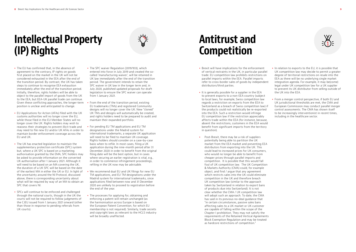## Intellectual Property (IP) Rights



- The EU has confirmed that, in the absence of agreement to the contrary, IP rights on goods first placed on the market in the UK will not be considered exhausted in the EEA after the end of the transition period. By contrast, the UK has taken steps to continue to recognise EEA exhaustion immediately after the end of the transition period. Initially, therefore, rights holders will be able to object to the parallel import of goods from the UK to the EEA, but EEA-UK parallel trade can continue. Given these conflicting approaches, the longer-term position is unclear and anticipated to change.
- EU Applications for Action (AFAs) filed with the UK customs authorities will no longer cover the EU, while those filed in the EU Member States will no longer cover the UK. Rights holders may wish to reassess their strategies to prevent illicit trade and may need to file new EU and/or UK AFAs in order to maintain border enforcement coverage across the EU and UK.
- The UK has enacted legislation to maintain the supplementary protection certificate (SPC) system but, where a UK SPC is based on a marketing authorisation granted by the EMA, SPC holders may be asked to provide information on the converted UK authorisation after 1 January 2021. Although it will need to be based on an MA covering the UK, the duration of a UK SPC will be based on the date of the earliest MA in either the UK or EU. In light of the uncertainty around the NI Protocol, discussed above, there is corresponding uncertainty about what will be required by way of an MA to obtain an SPC that covers NI.
- SPCs will continue to be enforced and challenged through the national courts, though in the UK the courts will not be required to follow judgments of the CJEU issued from 1 January 2021 onward (other than those in response to pending referrals from UK courts).
- The SPC waiver Regulation (2019/933), which entered into force in July 2019 and created the socalled 'manufacturing waiver', will be retained in UK law immediately after the end of the transition period. The government intends to retain the SPC waiver in UK law in the longer term and, in July 2020, published updated proposals for draft legislation to ensure the SPC waiver can operate from 1 January 2021.
- From the end of the transition period, existing EU trademarks (TMs) and registered Community designs will no longer cover the UK. New "cloned" UK TMs and designs will automatically be created, and rights holders need to be prepared to audit and maintain their expanded portfolio.
- For pending EU TM applications and EU TM designations under the Madrid system for international trademarks, a separate UK application will need to be filed to maintain UK coverage. Rights holders should consider on a case-by-case basis when to refile. In most cases, filing a UK application during the nine-month period after 31 December 2020 in order to benefit from the original filing date will be the best option, but in cases where securing an earlier registration is vital, e.g., in order to commence infringement proceedings, refiling in the UK now may be advisable.
- We recommend dual EU and UK filings for new EU TM applications, and EU TM designations under the Madrid system for international trademarks, since applications filed between now and 31 December 2020 are unlikely to proceed to registration before the end of the year.
- The processes for applying for, obtaining and enforcing a patent will remain unchanged (as the harmonisation across Europe is based on the European Patent Convention, for which EU membership is not required). Similarly, trade secrets and copyright laws as relevant to the HCLS industry will be broadly unaffected.

### Antitrust and Competition

- Brexit will have implications for the enforcement of vertical restraints in the UK, in particular parallel trade. EU competition law prohibits restrictions on parallel imports within the EEA. Parallel imports refer to cross-border sales of goods by independent distributors/third parties.
- It is generally possible for a supplier in the EEA to prevent exports to a non-EEA country (subject to local laws, for example, Swiss competition law regards a restriction on exports from the EEA to Switzerland as a breach of Swiss competition law) if the products could not realistically be re-exported into the EEA. Such a restriction would infringe EU competition law if the restriction appreciably affects trade within the EEA (for instance, because, absent the restrictions, customers in the EEA would benefit from significant imports from the territory in question).
- Post-Brexit, there may be a risk of suppliers potentially being able to partition the UK market from the EEA market and preventing EEA distributors from exporting into the UK. This could lead to increased prices for UK consumers, who would no longer be able to benefit from cheaper prices through parallel imports and competition. It is possible that this would fall foul of UK competition law. The UK Competition & Markets Authority (CMA) could, for example object, and find / argue that any agreement which restricts sales into the UK could eliminate competition in the UK and therefore breach UK competition law (similar to the approach taken by Switzerland in relation to export bans of products due into Switzerland). It is not clear whether the CMA / UK competition law will adopt such an approach. To date, the CMA has said in its previous no-deal guidance that "in certain circumstances, passive sales bans affecting sales to a UK market or UK customer are capable of falling within the scope of the Chapter I prohibition. They may not satisfy the requirements of the Retained Vertical Agreements Block Exemption Regulation and may be treated as hardcore restrictions of competition."



- In relation to exports to the EU, it is possible that UK competition law may decide to permit a greater degree of territorial restrictions on resale into the EEA as there will be no underlying single market integration agenda. For example, it may be(come) legal under UK competition law for a UK supplier to prevent its UK distributor from selling outside of the UK into the EEA.
- From a merger control perspective, if both EU and UK jurisdictional thresholds are met, the CMA and European Commission may conduct parallel merger control assessments. The CMA has shown itself to be increasingly interventionist in recent times, including in the healthcare sector.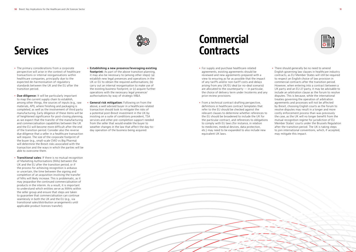### **Services**

- The primary considerations from a corporate perspective will arise in the context of healthcare transactions or internal reorganisations within healthcare companies, principally due to the expected de-harmonisation of regulatory standards between the UK and the EU after the transition period.
- Due diligence: It will be particularly important to map the current supply chain to establish, among other things, the sources of inputs (e.g., raw materials, API), where finishing and packaging is completed, as well as the involvement of third party manufacturing. Early diligence of these items will be of heightened significance for post-closing planning, as we expect that the transfer of the manufacturing and commercialisation capabilities between the UK and the EU will become more difficult after the end of the transition period. Consider also the reverse due diligence that a seller in a healthcare transaction will require. The size of the corporate footprint of the buyer (e.g., small-scale CMO vs Big Pharma) will determine the Brexit risks associated with the transaction and the ways in which the parties will be able to overcome them.
- Transitional sales: If there is no mutual recognition of Marketing Authorisations (MAs) between the UK and the EU after the transition period, or if the process for achieving recognition is arduous or uncertain, the time between the signing and completion of an acquisition involving the transfer of MAs will likely increase. This is problematic, as it may jeopardise the continued commercialisation of products in the interim. As a result, it is important to understand which entities serve as MAHs within the seller group and ensure that steps are taken to guarantee that commercialisation can continue seamlessly in both the UK and the EU (e.g., via transitional sales/distribution arrangements until applicable product licences transfer).

• There should generally be no need to amend English governing law clauses in healthcare industry contracts, as EU Member States will still be required to respect an English choice of law provision in commercial contracts after the transition period. However, when entering into a contract between a UK party and an EU-27 party, it may be advisable to include an arbitration clause as the forum to resolve disputes. This is because, while the international treaties governing the operation of arbitration agreements and processes will not be affected by Brexit, choosing English courts as the forum to resolve disputes may result in a longer and more costly enforcement process than was previously the case, as the UK will no longer benefit from the mutual recognition regime for jurisdiction of EU Member States' courts under the Brussels Regulation after the transition period. The UK is taking steps to join international conventions, which, if accepted, may mitigate this impact.

- Establishing a new presence/leveraging existing footprint: As part of the above transition planning, it may also be necessary to (among other steps): (a) establish new legal presences and operations in the UK or EU to obtain the required authorisations; (b) carry out an internal reorganisation to make use of the existing business footprint; or (c) acquire further operations with the necessary legal presence/ authorisations by way of strategic M&A.
- General risk mitigation: Following on from the above, a well advised buyer in a healthcare-related transaction should look to mitigate the risks of a potential post-Brexit investment in the UK by insisting on a suite of conditions precedent, TSA services and other pre-completion support needed from the seller that would enable the buyer to weather changes in the law that affect the day-today operation of the business being acquired.

## **Commercial Contracts**

- For supply and purchase healthcare-related agreements, existing agreements should be reviewed and new agreements prepared with a view to ensuring as far as possible that the impact of any tariffs and/or non-tariff costs and delays arising from any UK/EU deal (or no-deal scenario) are allocated to the counterparty  $-$  in particular, the choice of delivery term under Incoterms and any price review provisions.
- From a technical contract drafting perspective, definitions in healthcare contract templates that refer to the EU should be checked against the relevant clauses to determine whether references to the EU should be broadened to include the UK for the particular contract, and references to obligations to comply with EU laws (for instance, in relation to medicines, medical devices, data protection, etc.) may need to be expanded to also include new equivalent UK laws.



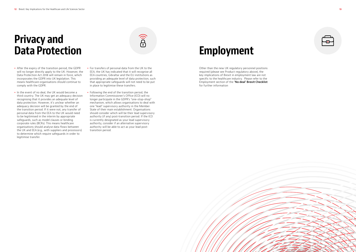## Privacy and Data Protection

- After the expiry of the transition period, the GDPR will no longer directly apply to the UK. However, the Data Protection Act 2018 will remain in force, which incorporates the GDPR into UK legislation. This means healthcare organisations should continue to comply with the GDPR.
- In the event of no deal, the UK would become a third country. The UK may get an adequacy decision recognising that it provides an adequate level of data protection. However, it's unclear whether an adequacy decision will be granted by the end of the transition period. If it were not, any transfer of personal data from the EEA to the UK would need to be legitimised in the interim by appropriate safeguards, such as model clauses or binding corporate rules (BCRs). This means healthcare organisations should analyse data flows between the UK and EEA (e.g., with suppliers and processors) to determine which require safeguards in order to legitimise transfer.
- For transfers of personal data from the UK to the EEA, the UK has indicated that it will recognise all EEA countries, Gibraltar and the EU institutions as providing an adequate level of data protection, such that appropriate safeguards will not need to be put in place to legitimise these transfers.

 $\widehat{\mathbf{P}}$ 

• Following the end of the transition period, the Information Commissioner's Office (ICO) will no longer participate in the GDPR's "one-stop-shop" mechanism, which allows organisations to deal with one "lead" supervisory authority in the Member State of their main establishment. Organisations should consider which will be their lead supervisory authority (if any) post-transition period. If the ICO is currently designated as your lead supervisory authority, consider if an alternative supervisory authority will be able to act as your lead posttransition period.

## Employment

Other than the new UK regulatory personnel positions required (please see Product regulatory above), the key implications of Brexit in employment law are not specific to the healthcare industry. Please refer to the Employment section of the ['No deal' Brexit Checklist](https://www.bakermckenzie.com/-/media/files/insight/publications/2019/09/no-deal-brexit-checklist-09182020.pd) for further information

| 77<br>$\bullet$ .<br>٠ |  |
|------------------------|--|
|                        |  |